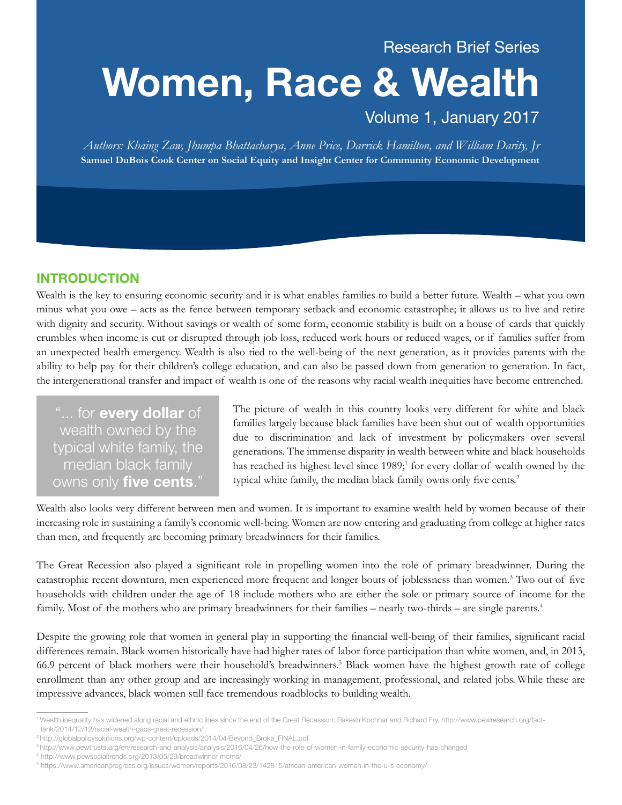## Research Brief Series

# **Women, Race & Wealth**

## Volume 1, January 2017

*Authors: Khaing Zaw, Jhumpa Bhattacharya, Anne Price, Darrick Hamilton, and William Darity, Jr* **Samuel DuBois Cook Center on Social Equity and Insight Center for Community Economic Development**

### **INTRODUCTION**

Wealth is the key to ensuring economic security and it is what enables families to build a better future. Wealth – what you own minus what you owe – acts as the fence between temporary setback and economic catastrophe; it allows us to live and retire with dignity and security. Without savings or wealth of some form, economic stability is built on a house of cards that quickly crumbles when income is cut or disrupted through job loss, reduced work hours or reduced wages, or if families suffer from an unexpected health emergency. Wealth is also tied to the well-being of the next generation, as it provides parents with the ability to help pay for their children's college education, and can also be passed down from generation to generation. In fact, the intergenerational transfer and impact of wealth is one of the reasons why racial wealth inequities have become entrenched.

"... for **every dollar** of wealth owned by the typical white family, the median black family owns only **five cents**."

The picture of wealth in this country looks very different for white and black families largely because black families have been shut out of wealth opportunities due to discrimination and lack of investment by policymakers over several generations. The immense disparity in wealth between white and black households has reached its highest level since 1989;<sup>1</sup> for every dollar of wealth owned by the typical white family, the median black family owns only five cents.<sup>2</sup>

Wealth also looks very different between men and women. It is important to examine wealth held by women because of their increasing role in sustaining a family's economic well-being. Women are now entering and graduating from college at higher rates than men, and frequently are becoming primary breadwinners for their families.

The Great Recession also played a significant role in propelling women into the role of primary breadwinner. During the catastrophic recent downturn, men experienced more frequent and longer bouts of joblessness than women.<sup>3</sup> Two out of five households with children under the age of 18 include mothers who are either the sole or primary source of income for the family. Most of the mothers who are primary breadwinners for their families – nearly two-thirds – are single parents.<sup>4</sup>

Despite the growing role that women in general play in supporting the financial well-being of their families, significant racial differences remain. Black women historically have had higher rates of labor force participation than white women, and, in 2013, 66.9 percent of black mothers were their household's breadwinners.5 Black women have the highest growth rate of college enrollment than any other group and are increasingly working in management, professional, and related jobs. While these are impressive advances, black women still face tremendous roadblocks to building wealth.

<sup>1</sup> Wealth inequality has widened along racial and ethnic lines since the end of the Great Recession, Rakesh Kochhar and Richard Fry, http://www.pewresearch.org/fact tank/2014/12/12/racial-wealth-gaps-great-recession/

<sup>2</sup> http://globalpolicysolutions.org/wp-content/uploads/2014/04/Beyond\_Broke\_FINAL.pdf

<sup>3</sup> http://www.pewtrusts.org/en/research-and-analysis/analysis/2016/04/26/how-the-role-of-women-in-family-economic-security-has-changed

<sup>4</sup> http://www.pewsocialtrends.org/2013/05/29/breadwinner-moms/

<sup>5</sup> https://www.americanprogress.org/issues/women/reports/2016/08/23/142815/african-american-women-in-the-u-s-economy/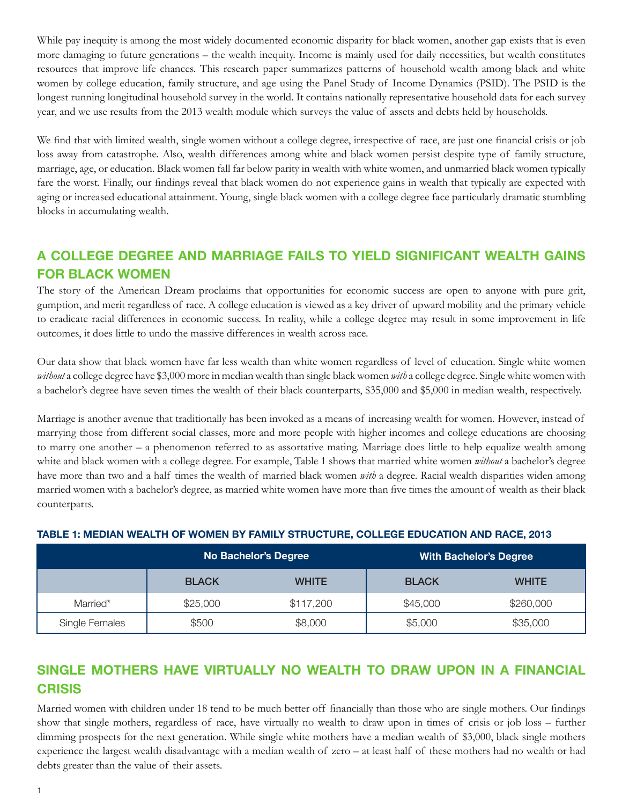While pay inequity is among the most widely documented economic disparity for black women, another gap exists that is even more damaging to future generations – the wealth inequity. Income is mainly used for daily necessities, but wealth constitutes resources that improve life chances. This research paper summarizes patterns of household wealth among black and white women by college education, family structure, and age using the Panel Study of Income Dynamics (PSID). The PSID is the longest running longitudinal household survey in the world. It contains nationally representative household data for each survey year, and we use results from the 2013 wealth module which surveys the value of assets and debts held by households.

We find that with limited wealth, single women without a college degree, irrespective of race, are just one financial crisis or job loss away from catastrophe. Also, wealth differences among white and black women persist despite type of family structure, marriage, age, or education. Black women fall far below parity in wealth with white women, and unmarried black women typically fare the worst. Finally, our findings reveal that black women do not experience gains in wealth that typically are expected with aging or increased educational attainment. Young, single black women with a college degree face particularly dramatic stumbling blocks in accumulating wealth.

## **A COLLEGE DEGREE AND MARRIAGE FAILS TO YIELD SIGNIFICANT WEALTH GAINS FOR BLACK WOMEN**

The story of the American Dream proclaims that opportunities for economic success are open to anyone with pure grit, gumption, and merit regardless of race. A college education is viewed as a key driver of upward mobility and the primary vehicle to eradicate racial differences in economic success. In reality, while a college degree may result in some improvement in life outcomes, it does little to undo the massive differences in wealth across race.

Our data show that black women have far less wealth than white women regardless of level of education. Single white women *without* a college degree have \$3,000 more in median wealth than single black women *with* a college degree. Single white women with a bachelor's degree have seven times the wealth of their black counterparts, \$35,000 and \$5,000 in median wealth, respectively.

Marriage is another avenue that traditionally has been invoked as a means of increasing wealth for women. However, instead of marrying those from different social classes, more and more people with higher incomes and college educations are choosing to marry one another – a phenomenon referred to as assortative mating. Marriage does little to help equalize wealth among white and black women with a college degree. For example, Table 1 shows that married white women *without* a bachelor's degree have more than two and a half times the wealth of married black women *with* a degree. Racial wealth disparities widen among married women with a bachelor's degree, as married white women have more than five times the amount of wealth as their black counterparts.

|                |              | <b>No Bachelor's Degree</b> | With Bachelor's Degree |              |  |
|----------------|--------------|-----------------------------|------------------------|--------------|--|
|                | <b>BLACK</b> | <b>WHITE</b>                | <b>BLACK</b>           | <b>WHITE</b> |  |
| Married*       | \$25,000     | \$117,200                   | \$45,000               | \$260,000    |  |
| Single Females | \$500        | \$8,000                     | \$5,000                | \$35,000     |  |

#### **TABLE 1: MEDIAN WEALTH OF WOMEN BY FAMILY STRUCTURE, COLLEGE EDUCATION AND RACE, 2013**

## **SINGLE MOTHERS HAVE VIRTUALLY NO WEALTH TO DRAW UPON IN A FINANCIAL CRISIS**

Married women with children under 18 tend to be much better off financially than those who are single mothers. Our findings show that single mothers, regardless of race, have virtually no wealth to draw upon in times of crisis or job loss – further dimming prospects for the next generation. While single white mothers have a median wealth of \$3,000, black single mothers experience the largest wealth disadvantage with a median wealth of zero – at least half of these mothers had no wealth or had debts greater than the value of their assets.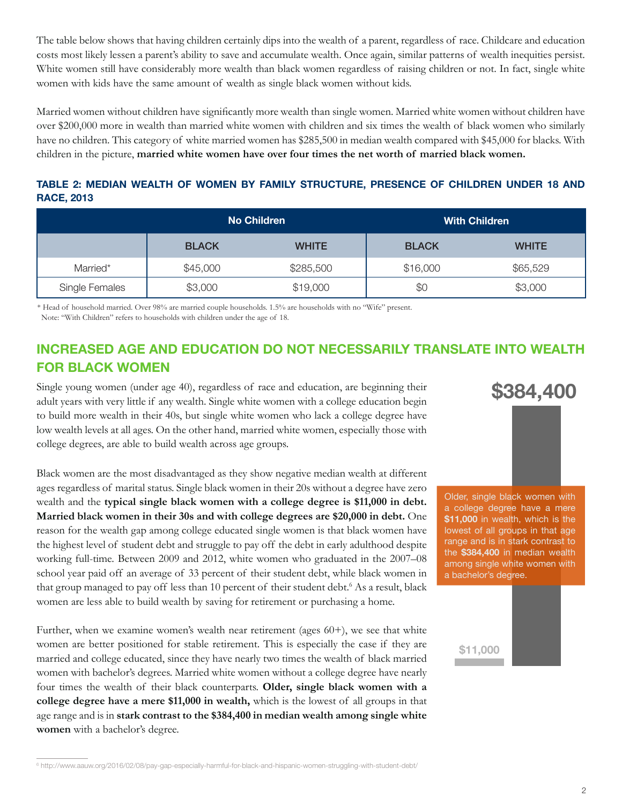The table below shows that having children certainly dips into the wealth of a parent, regardless of race. Childcare and education costs most likely lessen a parent's ability to save and accumulate wealth. Once again, similar patterns of wealth inequities persist. White women still have considerably more wealth than black women regardless of raising children or not. In fact, single white women with kids have the same amount of wealth as single black women without kids.

Married women without children have significantly more wealth than single women. Married white women without children have over \$200,000 more in wealth than married white women with children and six times the wealth of black women who similarly have no children. This category of white married women has \$285,500 in median wealth compared with \$45,000 for blacks. With children in the picture, **married white women have over four times the net worth of married black women.**

**TABLE 2: MEDIAN WEALTH OF WOMEN BY FAMILY STRUCTURE, PRESENCE OF CHILDREN UNDER 18 AND RACE, 2013**

|                |              | No Children  | <b>With Children</b> |              |  |
|----------------|--------------|--------------|----------------------|--------------|--|
|                | <b>BLACK</b> | <b>WHITE</b> | <b>BLACK</b>         | <b>WHITE</b> |  |
| Married*       | \$45,000     | \$285,500    | \$16,000             | \$65,529     |  |
| Single Females | \$3,000      | \$19,000     | \$0                  | \$3,000      |  |

\* Head of household married. Over 98% are married couple households. 1.5% are households with no "Wife" present. Note: "With Children" refers to households with children under the age of 18.

## **INCREASED AGE AND EDUCATION DO NOT NECESSARILY TRANSLATE INTO WEALTH FOR BLACK WOMEN**

Single young women (under age 40), regardless of race and education, are beginning their adult years with very little if any wealth. Single white women with a college education begin to build more wealth in their 40s, but single white women who lack a college degree have low wealth levels at all ages. On the other hand, married white women, especially those with college degrees, are able to build wealth across age groups.

Black women are the most disadvantaged as they show negative median wealth at different ages regardless of marital status. Single black women in their 20s without a degree have zero wealth and the **typical single black women with a college degree is \$11,000 in debt. Married black women in their 30s and with college degrees are \$20,000 in debt.** One reason for the wealth gap among college educated single women is that black women have the highest level of student debt and struggle to pay off the debt in early adulthood despite working full-time. Between 2009 and 2012, white women who graduated in the 2007–08 school year paid off an average of 33 percent of their student debt, while black women in that group managed to pay off less than 10 percent of their student debt.<sup>6</sup> As a result, black women are less able to build wealth by saving for retirement or purchasing a home.

Further, when we examine women's wealth near retirement (ages 60+), we see that white women are better positioned for stable retirement. This is especially the case if they are married and college educated, since they have nearly two times the wealth of black married women with bachelor's degrees. Married white women without a college degree have nearly four times the wealth of their black counterparts. **Older, single black women with a college degree have a mere \$11,000 in wealth,** which is the lowest of all groups in that age range and is in **stark contrast to the \$384,400 in median wealth among single white women** with a bachelor's degree.

Older, single black women with a college degree have a mere **\$11,000** in wealth, which is the lowest of all groups in that age range and is in stark contrast to the **\$384,400** in median wealth among single white women with a bachelor's degree.

**\$384,400**

#### **\$11,000**